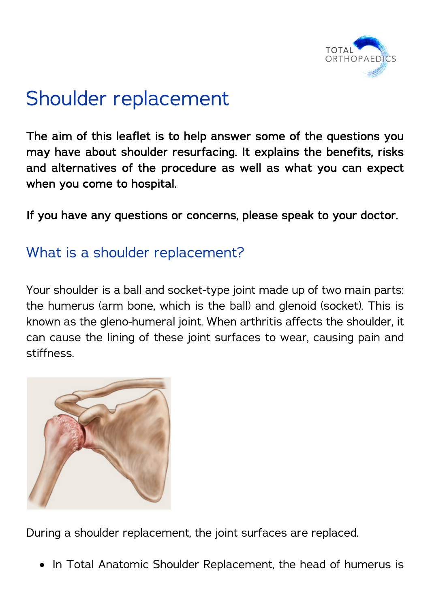

# Shoulder replacement

The aim of this leaflet is to help answer some of the questions you may have about shoulder resurfacing. It explains the benefits, risks and alternatives of the procedure as well as what you can expect when you come to hospital.

If you have any questions or concerns, please speak to your doctor.

#### What is a shoulder replacement?

Your shoulder is a ball and socket-type joint made up of two main parts: the humerus (arm bone, which is the ball) and glenoid (socket). This is known as the gleno-humeral joint. When arthritis affects the shoulder, it can cause the lining of these joint surfaces to wear, causing pain and stiffness.



During a shoulder replacement, the joint surfaces are replaced.

• In Total Anatomic Shoulder Replacement, the head of humerus is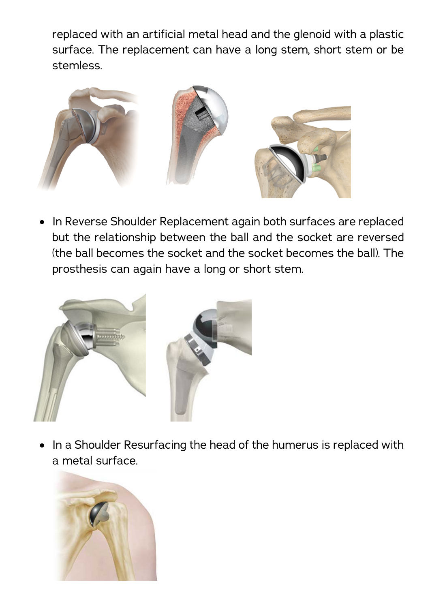replaced with an artificial metal head and the glenoid with a plastic surface. The replacement can have a long stem, short stem or be stemless.



• In Reverse Shoulder Replacement again both surfaces are replaced but the relationship between the ball and the socket are reversed (the ball becomes the socket and the socket becomes the ball). The prosthesis can again have a long or short stem.



• In a Shoulder Resurfacing the head of the humerus is replaced with a metal surface.

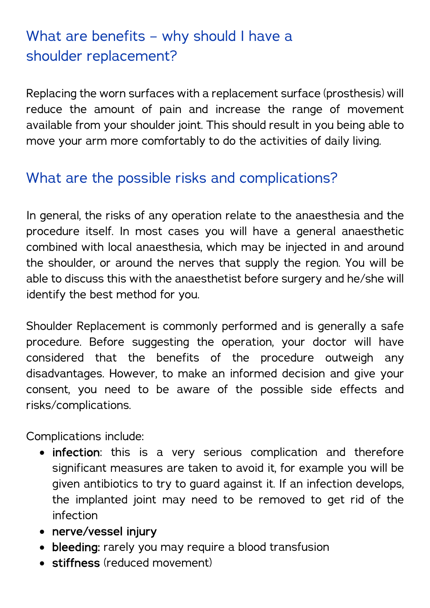# What are benefits – why should I have a shoulder replacement?

Replacing the worn surfaces with a replacement surface (prosthesis) will reduce the amount of pain and increase the range of movement available from your shoulder joint. This should result in you being able to move your arm more comfortably to do the activities of daily living.

#### What are the possible risks and complications?

In general, the risks of any operation relate to the anaesthesia and the procedure itself. In most cases you will have a general anaesthetic combined with local anaesthesia, which may be injected in and around the shoulder, or around the nerves that supply the region. You will be able to discuss this with the anaesthetist before surgery and he/she will identify the best method for you.

Shoulder Replacement is commonly performed and is generally a safe procedure. Before suggesting the operation, your doctor will have considered that the benefits of the procedure outweigh any disadvantages. However, to make an informed decision and give your consent, you need to be aware of the possible side effects and risks/complications.

Complications include:

- infection: this is a very serious complication and therefore significant measures are taken to avoid it, for example you will be given antibiotics to try to guard against it. If an infection develops, the implanted joint may need to be removed to get rid of the infection
- nerve/vessel injury
- bleeding: rarely you may require a blood transfusion
- stiffness (reduced movement)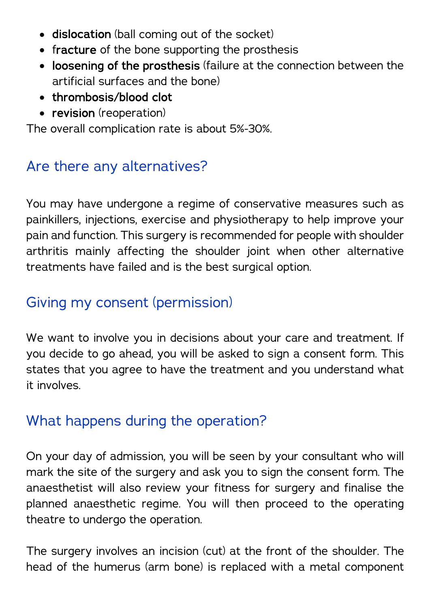- dislocation (ball coming out of the socket)
- fracture of the bone supporting the prosthesis
- loosening of the prosthesis (failure at the connection between the artificial surfaces and the bone)
- thrombosis/blood clot
- revision (reoperation)

The overall complication rate is about 5%-30%.

#### Are there any alternatives?

You may have undergone a regime of conservative measures such as painkillers, injections, exercise and physiotherapy to help improve your pain and function. This surgery is recommended for people with shoulder arthritis mainly affecting the shoulder joint when other alternative treatments have failed and is the best surgical option.

#### Giving my consent (permission)

We want to involve you in decisions about your care and treatment. If you decide to go ahead, you will be asked to sign a consent form. This states that you agree to have the treatment and you understand what it involves.

#### What happens during the operation?

On your day of admission, you will be seen by your consultant who will mark the site of the surgery and ask you to sign the consent form. The anaesthetist will also review your fitness for surgery and finalise the planned anaesthetic regime. You will then proceed to the operating theatre to undergo the operation.

The surgery involves an incision (cut) at the front of the shoulder. The head of the humerus (arm bone) is replaced with a metal component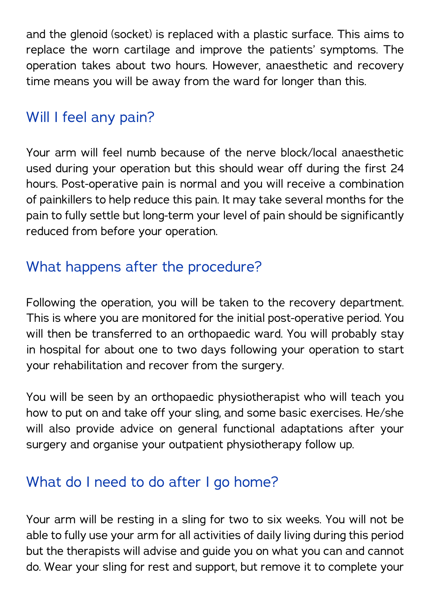and the glenoid (socket) is replaced with a plastic surface. This aims to replace the worn cartilage and improve the patients' symptoms. The operation takes about two hours. However, anaesthetic and recovery time means you will be away from the ward for longer than this.

#### Will I feel any pain?

Your arm will feel numb because of the nerve block/local anaesthetic used during your operation but this should wear off during the first 24 hours. Post-operative pain is normal and you will receive a combination of painkillers to help reduce this pain. It may take several months for the pain to fully settle but long-term your level of pain should be significantly reduced from before your operation.

### What happens after the procedure?

Following the operation, you will be taken to the recovery department. This is where you are monitored for the initial post-operative period. You will then be transferred to an orthopaedic ward. You will probably stay in hospital for about one to two days following your operation to start your rehabilitation and recover from the surgery.

You will be seen by an orthopaedic physiotherapist who will teach you how to put on and take off your sling, and some basic exercises. He/she will also provide advice on general functional adaptations after your surgery and organise your outpatient physiotherapy follow up.

# What do I need to do after I go home?

Your arm will be resting in a sling for two to six weeks. You will not be able to fully use your arm for all activities of daily living during this period but the therapists will advise and guide you on what you can and cannot do. Wear your sling for rest and support, but remove it to complete your